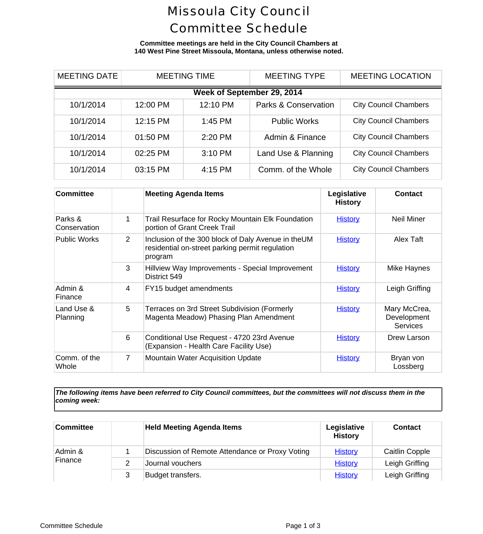## Missoula City Council Committee Schedule

**Committee meetings are held in the City Council Chambers at 140 West Pine Street Missoula, Montana, unless otherwise noted.**

| <b>MEETING DATE</b>        |          | <b>MEETING TIME</b> | <b>MEETING TYPE</b>             | <b>MEETING LOCA</b>      |  |
|----------------------------|----------|---------------------|---------------------------------|--------------------------|--|
| Week of September 29, 2014 |          |                     |                                 |                          |  |
| 10/1/2014                  | 12:00 PM | 12:10 PM            | <b>Parks &amp; Conservation</b> | <b>City Council Cham</b> |  |
| 10/1/2014                  | 12:15 PM | 1:45 PM             | <b>Public Works</b>             | <b>City Council Cham</b> |  |
| 10/1/2014                  | 01:50 PM | 2:20 PM             | Admin & Finance                 | <b>City Council Cham</b> |  |
| 10/1/2014                  | 02:25 PM | 3:10 PM             | Land Use & Planning             | <b>City Council Cham</b> |  |
| 10/1/2014                  | 03:15 PM | 4:15 PM             | Comm. of the Whole              | <b>City Council Cham</b> |  |

| <b>Committee</b>        |                | <b>Meeting Agenda Items</b>                                                                                      | Legislative<br><b>History</b> | <b>Cont</b>                  |
|-------------------------|----------------|------------------------------------------------------------------------------------------------------------------|-------------------------------|------------------------------|
| Parks &<br>Conservation | 1              | Trail Resurface for Rocky Mountain Elk Foundation<br>portion of Grant Creek Trail                                | <b>History</b>                | Neil M                       |
| <b>Public Works</b>     | $\overline{2}$ | Inclusion of the 300 block of Daly Avenue in theUM<br>residential on-street parking permit regulation<br>program | <b>History</b>                | Alex                         |
|                         | 3              | Hillview Way Improvements - Special Improvement<br>District 549                                                  | <b>History</b>                | Mike Ha                      |
| Admin &<br>Finance      | 4              | FY15 budget amendments                                                                                           | <b>History</b>                | Leigh G                      |
| Land Use &<br>Planning  | 5              | Terraces on 3rd Street Subdivision (Formerly<br>Magenta Meadow) Phasing Plan Amendment                           | <b>History</b>                | Mary Mc<br>Develop<br>Servic |
|                         | 6              | Conditional Use Request - 4720 23rd Avenue<br>(Expansion - Health Care Facility Use)                             | <b>History</b>                | Drew La                      |
| Comm. of the<br>Whole   | $\overline{7}$ | <b>Mountain Water Acquisition Update</b>                                                                         | <b>History</b>                | <b>Bryan</b><br>Lossb        |

*The following items have been referred to City Council committees, but the committees will not discuss them in the coming week:*

| <b>Committee</b>   |   | <b>Held Meeting Agenda Items</b>                | Legislative<br><b>History</b> | Conta     |
|--------------------|---|-------------------------------------------------|-------------------------------|-----------|
| Admin &<br>Finance |   | Discussion of Remote Attendance or Proxy Voting | <b>History</b>                | Caitlin C |
|                    |   | Journal vouchers                                | <b>History</b>                | Leigh Gr  |
|                    | 3 | Budget transfers.                               | <b>History</b>                | Leigh Gr  |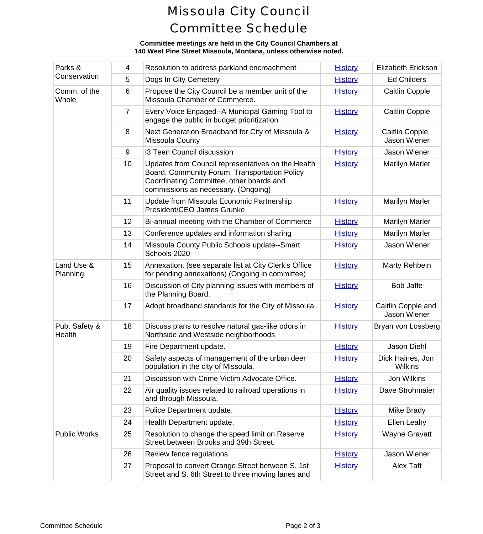# Missoula City Council Committee Schedule

#### **Committee meetings are held in the City Council Chambers at 140 West Pine Street Missoula, Montana, unless otherwise noted.**

| Parks &<br>Conservation | 4              | Resolution to address parkland encroachment                                                                                                                                            | <b>History</b> | Elizabeth E                 |
|-------------------------|----------------|----------------------------------------------------------------------------------------------------------------------------------------------------------------------------------------|----------------|-----------------------------|
|                         | 5              | Dogs In City Cemetery                                                                                                                                                                  | <b>History</b> | Ed Chile                    |
| Comm. of the<br>Whole   | 6              | Propose the City Council be a member unit of the<br>Missoula Chamber of Commerce.                                                                                                      | <b>History</b> | Caitlin C                   |
|                         | $\overline{7}$ | Every Voice Engaged--A Municipal Gaming Tool to<br>engage the public in budget prioritization                                                                                          | <b>History</b> | Caitlin C                   |
|                         | 8              | Next Generation Broadband for City of Missoula &<br>Missoula County                                                                                                                    | <b>History</b> | Caitlin Cd<br>Jason W       |
|                         | 9              | i3 Teen Council discussion                                                                                                                                                             | <b>History</b> | Jason W                     |
|                         | 10             | Updates from Council representatives on the Health<br>Board, Community Forum, Transportation Policy<br>Coordinating Committee, other boards and<br>commissions as necessary. (Ongoing) | <b>History</b> | Marilyn N                   |
|                         | 11             | Update from Missoula Economic Partnership<br>President/CEO James Grunke                                                                                                                | <b>History</b> | Marilyn N                   |
|                         | 12             | Bi-annual meeting with the Chamber of Commerce                                                                                                                                         | <b>History</b> | Marilyn N                   |
|                         | 13             | Conference updates and information sharing                                                                                                                                             | <b>History</b> | Marilyn N                   |
|                         | 14             | Missoula County Public Schools update--Smart<br>Schools 2020                                                                                                                           | <b>History</b> | Jason W                     |
| Land Use &<br>Planning  | 15             | Annexation, (see separate list at City Clerk's Office<br>for pending annexations) (Ongoing in committee)                                                                               | <b>History</b> | Marty Re                    |
|                         | 16             | Discussion of City planning issues with members of<br>the Planning Board.                                                                                                              | <b>History</b> | Bob Ja                      |
|                         | 17             | Adopt broadband standards for the City of Missoula                                                                                                                                     | <b>History</b> | Caitlin Cop<br>Jason W      |
| Pub. Safety &<br>Health | 18             | Discuss plans to resolve natural gas-like odors in<br>Northside and Westside neighborhoods                                                                                             | <b>History</b> | Bryan von L                 |
|                         | 19             | Fire Department update.                                                                                                                                                                | <b>History</b> | Jason D                     |
|                         | 20             | Safety aspects of management of the urban deer<br>population in the city of Missoula.                                                                                                  | <b>History</b> | <b>Dick Haine</b><br>Wilkir |
|                         | 21             | Discussion with Crime Victim Advocate Office.                                                                                                                                          | <b>History</b> | Jon Wil                     |
|                         | 22             | Air quality issues related to railroad operations in<br>and through Missoula.                                                                                                          | <b>History</b> | Dave Stro                   |
|                         | 23             | Police Department update.                                                                                                                                                              | <b>History</b> | Mike Br                     |
|                         | 24             | Health Department update.                                                                                                                                                              | <b>History</b> | Ellen Le                    |
| <b>Public Works</b>     | 25             | Resolution to change the speed limit on Reserve<br>Street between Brooks and 39th Street.                                                                                              | <b>History</b> | Wayne G                     |
|                         | 26             | Review fence regulations                                                                                                                                                               | <b>History</b> | Jason W                     |
|                         | 27             | Proposal to convert Orange Street between S. 1st<br>Street and S. 6th Street to three moving lanes and                                                                                 | <b>History</b> | Alex T                      |